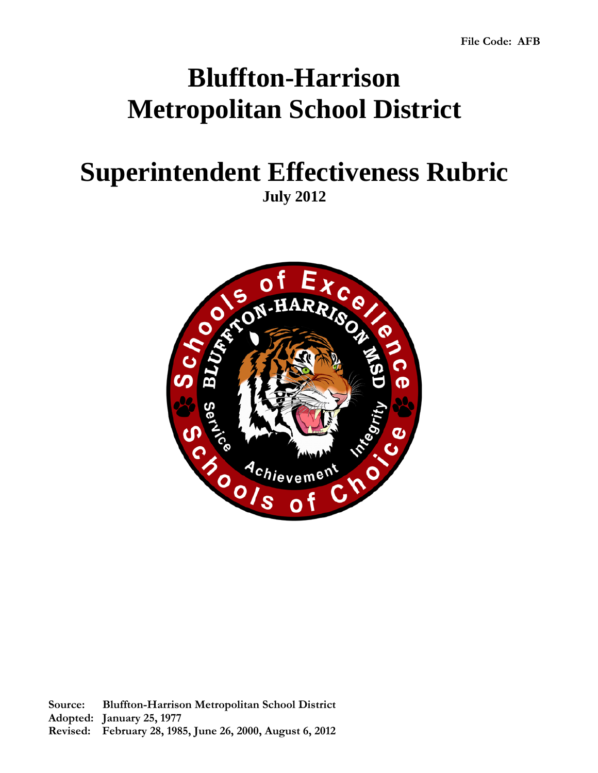# **Bluffton-Harrison Metropolitan School District**

## **Superintendent Effectiveness Rubric July 2012**

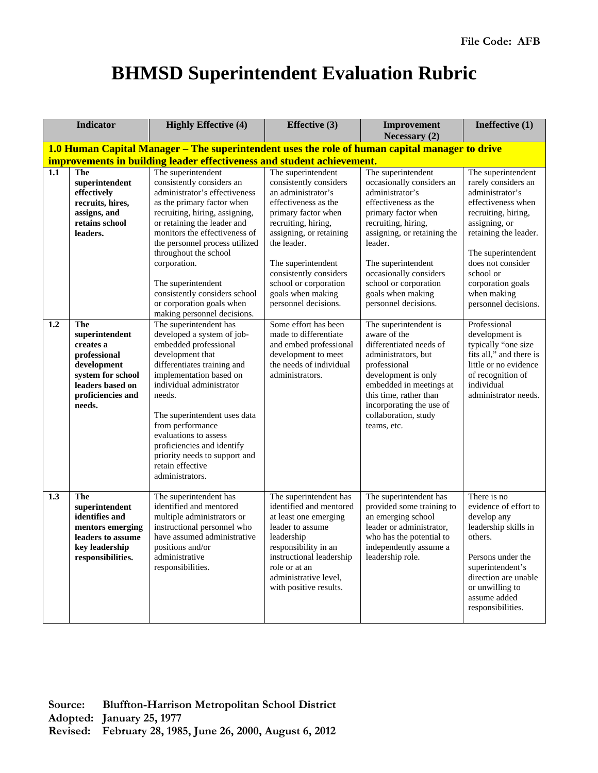### **BHMSD Superintendent Evaluation Rubric**

|                  | <b>Indicator</b>                                                                                                                          | <b>Highly Effective (4)</b>                                                                                                                                                                                                                                                                                                                                                          | <b>Effective</b> (3)                                                                                                                                                                                                                                        | <b>Improvement</b><br>Necessary (2)                                                                                                                                                                                                                         | Ineffective (1)                                                                                                                                                                                                 |
|------------------|-------------------------------------------------------------------------------------------------------------------------------------------|--------------------------------------------------------------------------------------------------------------------------------------------------------------------------------------------------------------------------------------------------------------------------------------------------------------------------------------------------------------------------------------|-------------------------------------------------------------------------------------------------------------------------------------------------------------------------------------------------------------------------------------------------------------|-------------------------------------------------------------------------------------------------------------------------------------------------------------------------------------------------------------------------------------------------------------|-----------------------------------------------------------------------------------------------------------------------------------------------------------------------------------------------------------------|
|                  |                                                                                                                                           |                                                                                                                                                                                                                                                                                                                                                                                      | 1.0 Human Capital Manager - The superintendent uses the role of human capital manager to drive                                                                                                                                                              |                                                                                                                                                                                                                                                             |                                                                                                                                                                                                                 |
|                  |                                                                                                                                           | improvements in building leader effectiveness and student achievement.                                                                                                                                                                                                                                                                                                               |                                                                                                                                                                                                                                                             |                                                                                                                                                                                                                                                             |                                                                                                                                                                                                                 |
| 1.1              | <b>The</b><br>superintendent<br>effectively<br>recruits, hires,<br>assigns, and<br>retains school<br>leaders.                             | The superintendent<br>consistently considers an<br>administrator's effectiveness<br>as the primary factor when<br>recruiting, hiring, assigning,<br>or retaining the leader and<br>monitors the effectiveness of<br>the personnel process utilized<br>throughout the school<br>corporation.                                                                                          | The superintendent<br>consistently considers<br>an administrator's<br>effectiveness as the<br>primary factor when<br>recruiting, hiring,<br>assigning, or retaining<br>the leader.<br>The superintendent<br>consistently considers<br>school or corporation | The superintendent<br>occasionally considers an<br>administrator's<br>effectiveness as the<br>primary factor when<br>recruiting, hiring,<br>assigning, or retaining the<br>leader.<br>The superintendent<br>occasionally considers<br>school or corporation | The superintendent<br>rarely considers an<br>administrator's<br>effectiveness when<br>recruiting, hiring,<br>assigning, or<br>retaining the leader.<br>The superintendent<br>does not consider<br>school or     |
|                  |                                                                                                                                           | The superintendent<br>consistently considers school<br>or corporation goals when<br>making personnel decisions.                                                                                                                                                                                                                                                                      | goals when making<br>personnel decisions.                                                                                                                                                                                                                   | goals when making<br>personnel decisions.                                                                                                                                                                                                                   | corporation goals<br>when making<br>personnel decisions.                                                                                                                                                        |
| 1.2              | The<br>superintendent<br>creates a<br>professional<br>development<br>system for school<br>leaders based on<br>proficiencies and<br>needs. | The superintendent has<br>developed a system of job-<br>embedded professional<br>development that<br>differentiates training and<br>implementation based on<br>individual administrator<br>needs.<br>The superintendent uses data<br>from performance<br>evaluations to assess<br>proficiencies and identify<br>priority needs to support and<br>retain effective<br>administrators. | Some effort has been<br>made to differentiate<br>and embed professional<br>development to meet<br>the needs of individual<br>administrators.                                                                                                                | The superintendent is<br>aware of the<br>differentiated needs of<br>administrators, but<br>professional<br>development is only<br>embedded in meetings at<br>this time, rather than<br>incorporating the use of<br>collaboration, study<br>teams, etc.      | Professional<br>development is<br>typically "one size<br>fits all," and there is<br>little or no evidence<br>of recognition of<br>individual<br>administrator needs.                                            |
| $\overline{1.3}$ | <b>The</b><br>superintendent<br>identifies and<br>mentors emerging<br>leaders to assume<br>key leadership<br>responsibilities.            | The superintendent has<br>identified and mentored<br>multiple administrators or<br>instructional personnel who<br>have assumed administrative<br>positions and/or<br>administrative<br>responsibilities.                                                                                                                                                                             | The superintendent has<br>identified and mentored<br>at least one emerging<br>leader to assume<br>leadership<br>responsibility in an<br>instructional leadership<br>role or at an<br>administrative level,<br>with positive results.                        | The superintendent has<br>provided some training to<br>an emerging school<br>leader or administrator,<br>who has the potential to<br>independently assume a<br>leadership role.                                                                             | There is no<br>evidence of effort to<br>develop any<br>leadership skills in<br>others.<br>Persons under the<br>superintendent's<br>direction are unable<br>or unwilling to<br>assume added<br>responsibilities. |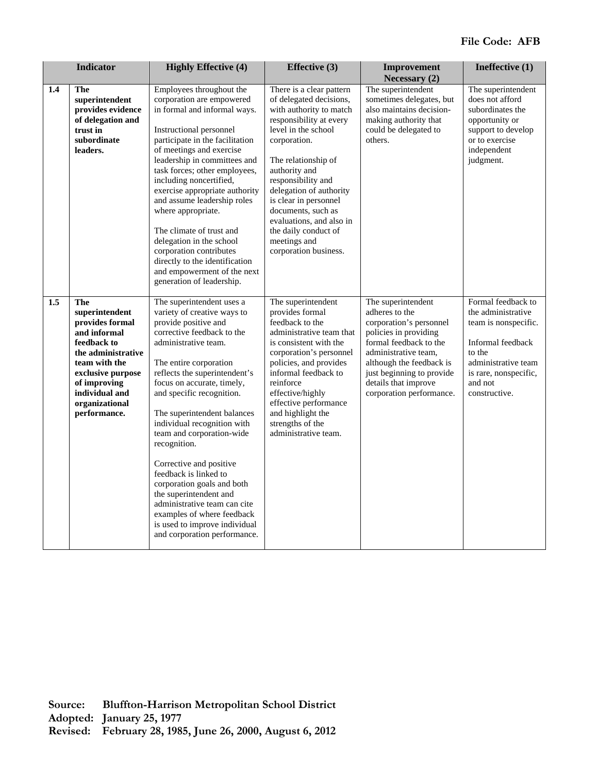|                  | <b>Indicator</b>                                                                                                                                                                                        | <b>Highly Effective (4)</b>                                                                                                                                                                                                                                                                                                                                                                                                                                                                                                                                                                                        | <b>Effective (3)</b>                                                                                                                                                                                                                                                                                                                                                                  | Improvement<br><b>Necessary (2)</b>                                                                                                                                                                                                                     | Ineffective (1)                                                                                                                                                             |
|------------------|---------------------------------------------------------------------------------------------------------------------------------------------------------------------------------------------------------|--------------------------------------------------------------------------------------------------------------------------------------------------------------------------------------------------------------------------------------------------------------------------------------------------------------------------------------------------------------------------------------------------------------------------------------------------------------------------------------------------------------------------------------------------------------------------------------------------------------------|---------------------------------------------------------------------------------------------------------------------------------------------------------------------------------------------------------------------------------------------------------------------------------------------------------------------------------------------------------------------------------------|---------------------------------------------------------------------------------------------------------------------------------------------------------------------------------------------------------------------------------------------------------|-----------------------------------------------------------------------------------------------------------------------------------------------------------------------------|
| 1.4              | The<br>superintendent<br>provides evidence<br>of delegation and<br>trust in<br>subordinate<br>leaders.                                                                                                  | Employees throughout the<br>corporation are empowered<br>in formal and informal ways.<br>Instructional personnel<br>participate in the facilitation<br>of meetings and exercise<br>leadership in committees and<br>task forces; other employees,<br>including noncertified,<br>exercise appropriate authority<br>and assume leadership roles<br>where appropriate.<br>The climate of trust and<br>delegation in the school<br>corporation contributes<br>directly to the identification<br>and empowerment of the next<br>generation of leadership.                                                                | There is a clear pattern<br>of delegated decisions,<br>with authority to match<br>responsibility at every<br>level in the school<br>corporation.<br>The relationship of<br>authority and<br>responsibility and<br>delegation of authority<br>is clear in personnel<br>documents, such as<br>evaluations, and also in<br>the daily conduct of<br>meetings and<br>corporation business. | The superintendent<br>sometimes delegates, but<br>also maintains decision-<br>making authority that<br>could be delegated to<br>others.                                                                                                                 | The superintendent<br>does not afford<br>subordinates the<br>opportunity or<br>support to develop<br>or to exercise<br>independent<br>judgment.                             |
| $\overline{1.5}$ | The<br>superintendent<br>provides formal<br>and informal<br>feedback to<br>the administrative<br>team with the<br>exclusive purpose<br>of improving<br>individual and<br>organizational<br>performance. | The superintendent uses a<br>variety of creative ways to<br>provide positive and<br>corrective feedback to the<br>administrative team.<br>The entire corporation<br>reflects the superintendent's<br>focus on accurate, timely,<br>and specific recognition.<br>The superintendent balances<br>individual recognition with<br>team and corporation-wide<br>recognition.<br>Corrective and positive<br>feedback is linked to<br>corporation goals and both<br>the superintendent and<br>administrative team can cite<br>examples of where feedback<br>is used to improve individual<br>and corporation performance. | The superintendent<br>provides formal<br>feedback to the<br>administrative team that<br>is consistent with the<br>corporation's personnel<br>policies, and provides<br>informal feedback to<br>reinforce<br>effective/highly<br>effective performance<br>and highlight the<br>strengths of the<br>administrative team.                                                                | The superintendent<br>adheres to the<br>corporation's personnel<br>policies in providing<br>formal feedback to the<br>administrative team,<br>although the feedback is<br>just beginning to provide<br>details that improve<br>corporation performance. | Formal feedback to<br>the administrative<br>team is nonspecific.<br>Informal feedback<br>to the<br>administrative team<br>is rare, nonspecific,<br>and not<br>constructive. |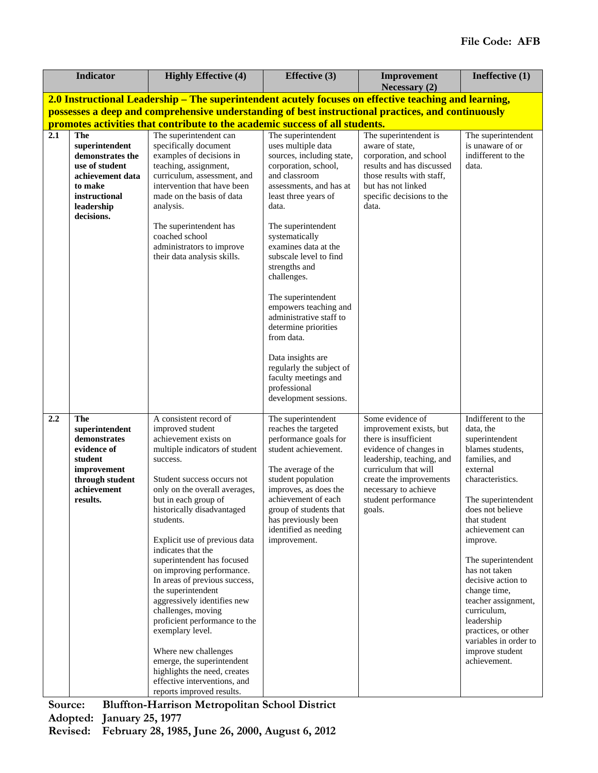|     | <b>Indicator</b>                                                                                                                               | <b>Highly Effective (4)</b>                                                                                                                                                                                                                                                                                                                                                                                                                                                                                                                                                                                                                                                               | <b>Effective (3)</b>                                                                                                                                                                                                                                                                                                                                                                                                                                                                                          | Improvement                                                                                                                                                                                                                             | Ineffective (1)                                                                                                                                                                                                                                                                                                                                                                                                                     |
|-----|------------------------------------------------------------------------------------------------------------------------------------------------|-------------------------------------------------------------------------------------------------------------------------------------------------------------------------------------------------------------------------------------------------------------------------------------------------------------------------------------------------------------------------------------------------------------------------------------------------------------------------------------------------------------------------------------------------------------------------------------------------------------------------------------------------------------------------------------------|---------------------------------------------------------------------------------------------------------------------------------------------------------------------------------------------------------------------------------------------------------------------------------------------------------------------------------------------------------------------------------------------------------------------------------------------------------------------------------------------------------------|-----------------------------------------------------------------------------------------------------------------------------------------------------------------------------------------------------------------------------------------|-------------------------------------------------------------------------------------------------------------------------------------------------------------------------------------------------------------------------------------------------------------------------------------------------------------------------------------------------------------------------------------------------------------------------------------|
|     |                                                                                                                                                | 2.0 Instructional Leadership – The superintendent acutely focuses on effective teaching and learning,                                                                                                                                                                                                                                                                                                                                                                                                                                                                                                                                                                                     |                                                                                                                                                                                                                                                                                                                                                                                                                                                                                                               | Necessary (2)                                                                                                                                                                                                                           |                                                                                                                                                                                                                                                                                                                                                                                                                                     |
|     |                                                                                                                                                | possesses a deep and comprehensive understanding of best instructional practices, and continuously                                                                                                                                                                                                                                                                                                                                                                                                                                                                                                                                                                                        |                                                                                                                                                                                                                                                                                                                                                                                                                                                                                                               |                                                                                                                                                                                                                                         |                                                                                                                                                                                                                                                                                                                                                                                                                                     |
|     |                                                                                                                                                | promotes activities that contribute to the academic success of all students.                                                                                                                                                                                                                                                                                                                                                                                                                                                                                                                                                                                                              |                                                                                                                                                                                                                                                                                                                                                                                                                                                                                                               |                                                                                                                                                                                                                                         |                                                                                                                                                                                                                                                                                                                                                                                                                                     |
| 2.1 | <b>The</b><br>superintendent<br>demonstrates the<br>use of student<br>achievement data<br>to make<br>instructional<br>leadership<br>decisions. | The superintendent can<br>specifically document<br>examples of decisions in<br>teaching, assignment,<br>curriculum, assessment, and<br>intervention that have been<br>made on the basis of data<br>analysis.<br>The superintendent has<br>coached school<br>administrators to improve<br>their data analysis skills.                                                                                                                                                                                                                                                                                                                                                                      | The superintendent<br>uses multiple data<br>sources, including state,<br>corporation, school,<br>and classroom<br>assessments, and has at<br>least three years of<br>data.<br>The superintendent<br>systematically<br>examines data at the<br>subscale level to find<br>strengths and<br>challenges.<br>The superintendent<br>empowers teaching and<br>administrative staff to<br>determine priorities<br>from data.<br>Data insights are<br>regularly the subject of<br>faculty meetings and<br>professional | The superintendent is<br>aware of state,<br>corporation, and school<br>results and has discussed<br>those results with staff.<br>but has not linked<br>specific decisions to the<br>data.                                               | The superintendent<br>is unaware of or<br>indifferent to the<br>data.                                                                                                                                                                                                                                                                                                                                                               |
| 2.2 | The<br>superintendent<br>demonstrates<br>evidence of<br>student<br>improvement<br>through student<br>achievement<br>results.                   | A consistent record of<br>improved student<br>achievement exists on<br>multiple indicators of student<br>success.<br>Student success occurs not<br>only on the overall averages,<br>but in each group of<br>historically disadvantaged<br>students.<br>Explicit use of previous data<br>indicates that the<br>superintendent has focused<br>on improving performance.<br>In areas of previous success,<br>the superintendent<br>aggressively identifies new<br>challenges, moving<br>proficient performance to the<br>exemplary level.<br>Where new challenges<br>emerge, the superintendent<br>highlights the need, creates<br>effective interventions, and<br>reports improved results. | development sessions.<br>The superintendent<br>reaches the targeted<br>performance goals for<br>student achievement.<br>The average of the<br>student population<br>improves, as does the<br>achievement of each<br>group of students that<br>has previously been<br>identified as needing<br>improvement.                                                                                                                                                                                                    | Some evidence of<br>improvement exists, but<br>there is insufficient<br>evidence of changes in<br>leadership, teaching, and<br>curriculum that will<br>create the improvements<br>necessary to achieve<br>student performance<br>goals. | Indifferent to the<br>data, the<br>superintendent<br>blames students,<br>families, and<br>external<br>characteristics.<br>The superintendent<br>does not believe<br>that student<br>achievement can<br>improve.<br>The superintendent<br>has not taken<br>decisive action to<br>change time,<br>teacher assignment,<br>curriculum,<br>leadership<br>practices, or other<br>variables in order to<br>improve student<br>achievement. |

**Source: Bluffton-Harrison Metropolitan School District Adopted: January 25, 1977**

**Revised: February 28, 1985, June 26, 2000, August 6, 2012**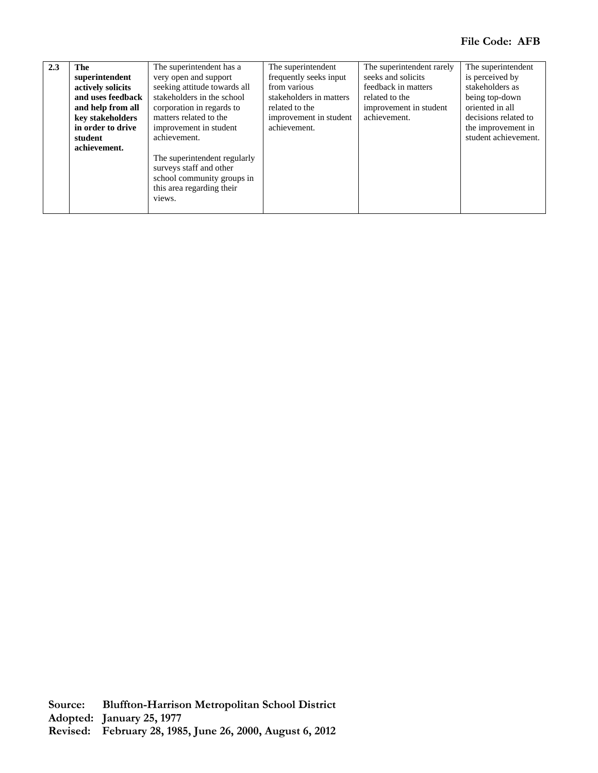| 2.3 | The               | The superintendent has a     | The superintendent      | The superintendent rarely | The superintendent   |
|-----|-------------------|------------------------------|-------------------------|---------------------------|----------------------|
|     | superintendent    | very open and support        | frequently seeks input  | seeks and solicits        | is perceived by      |
|     | actively solicits | seeking attitude towards all | from various            | feedback in matters       | stakeholders as      |
|     | and uses feedback | stakeholders in the school   | stakeholders in matters | related to the            | being top-down       |
|     | and help from all | corporation in regards to    | related to the          | improvement in student    | oriented in all      |
|     | key stakeholders  | matters related to the       | improvement in student  | achievement.              | decisions related to |
|     | in order to drive | improvement in student       | achievement.            |                           | the improvement in   |
|     | student           | achievement.                 |                         |                           | student achievement. |
|     | achievement.      |                              |                         |                           |                      |
|     |                   | The superintendent regularly |                         |                           |                      |
|     |                   | surveys staff and other      |                         |                           |                      |
|     |                   | school community groups in   |                         |                           |                      |
|     |                   | this area regarding their    |                         |                           |                      |
|     |                   | views.                       |                         |                           |                      |
|     |                   |                              |                         |                           |                      |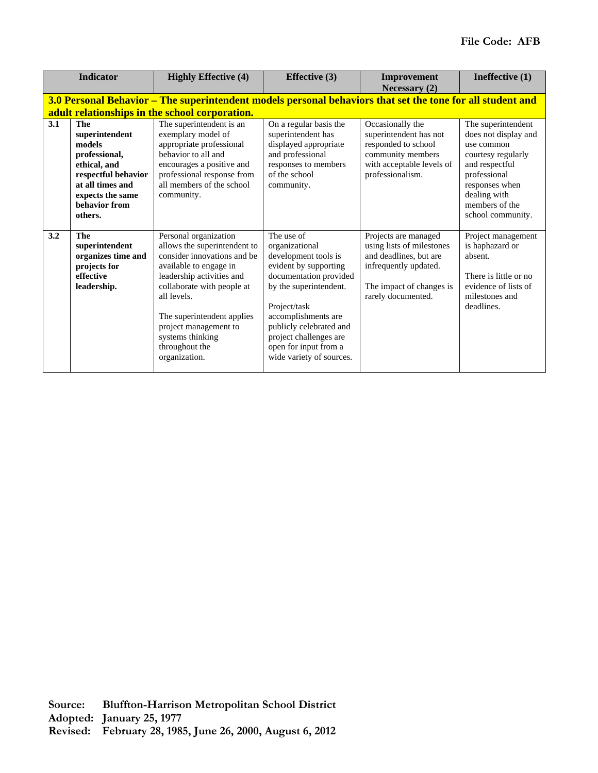|     | <b>Indicator</b>                                                                                                                                                   | <b>Highly Effective (4)</b>                                                                                                                                                                                                                                                                            | <b>Effective</b> (3)                                                                                                                                                                                                                                                               | Improvement<br>Necessary $(2)$                                                                                                                         | Ineffective (1)                                                                                                                                                                           |
|-----|--------------------------------------------------------------------------------------------------------------------------------------------------------------------|--------------------------------------------------------------------------------------------------------------------------------------------------------------------------------------------------------------------------------------------------------------------------------------------------------|------------------------------------------------------------------------------------------------------------------------------------------------------------------------------------------------------------------------------------------------------------------------------------|--------------------------------------------------------------------------------------------------------------------------------------------------------|-------------------------------------------------------------------------------------------------------------------------------------------------------------------------------------------|
|     |                                                                                                                                                                    | 3.0 Personal Behavior – The superintendent models personal behaviors that set the tone for all student and<br>adult relationships in the school corporation.                                                                                                                                           |                                                                                                                                                                                                                                                                                    |                                                                                                                                                        |                                                                                                                                                                                           |
| 3.1 | <b>The</b><br>superintendent<br>models<br>professional,<br>ethical, and<br>respectful behavior<br>at all times and<br>expects the same<br>behavior from<br>others. | The superintendent is an<br>exemplary model of<br>appropriate professional<br>behavior to all and<br>encourages a positive and<br>professional response from<br>all members of the school<br>community.                                                                                                | On a regular basis the<br>superintendent has<br>displayed appropriate<br>and professional<br>responses to members<br>of the school<br>community.                                                                                                                                   | Occasionally the<br>superintendent has not<br>responded to school<br>community members<br>with acceptable levels of<br>professionalism.                | The superintendent<br>does not display and<br>use common<br>courtesy regularly<br>and respectful<br>professional<br>responses when<br>dealing with<br>members of the<br>school community. |
| 3.2 | <b>The</b><br>superintendent<br>organizes time and<br>projects for<br>effective<br>leadership.                                                                     | Personal organization<br>allows the superintendent to<br>consider innovations and be<br>available to engage in<br>leadership activities and<br>collaborate with people at<br>all levels.<br>The superintendent applies<br>project management to<br>systems thinking<br>throughout the<br>organization. | The use of<br>organizational<br>development tools is<br>evident by supporting<br>documentation provided<br>by the superintendent.<br>Project/task<br>accomplishments are<br>publicly celebrated and<br>project challenges are<br>open for input from a<br>wide variety of sources. | Projects are managed<br>using lists of milestones<br>and deadlines, but are<br>infrequently updated.<br>The impact of changes is<br>rarely documented. | Project management<br>is haphazard or<br>absent.<br>There is little or no<br>evidence of lists of<br>milestones and<br>deadlines.                                                         |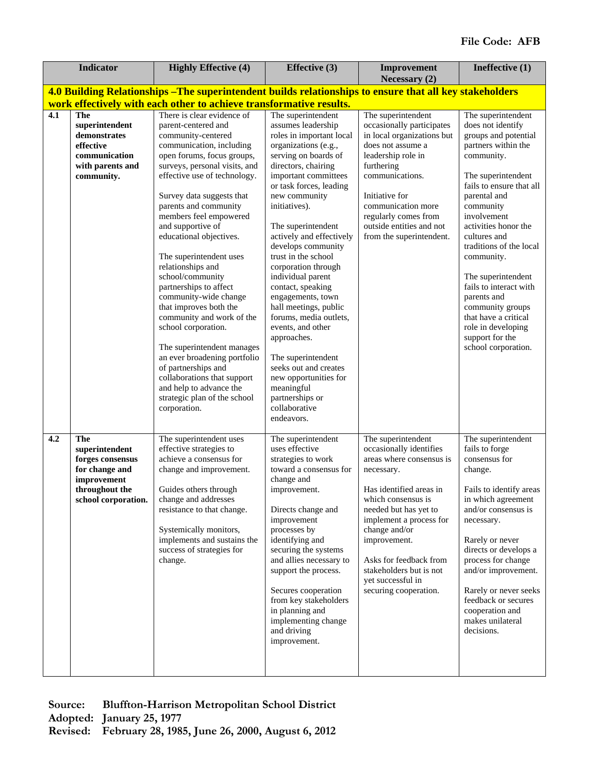|     | <b>Indicator</b>                                                                                                    | <b>Highly Effective (4)</b>                                                                                                                                                                                                                                                                                                                                                                                                                                                                                                                                                                                                                                                                                                            | <b>Effective</b> (3)                                                                                                                                                                                                                                                                                                                                                                                                                                                                                                                                                                                                                                 | Improvement<br>Necessary (2)                                                                                                                                                                                                                                                                                                     | Ineffective (1)                                                                                                                                                                                                                                                                                                                                                                                                                                                |
|-----|---------------------------------------------------------------------------------------------------------------------|----------------------------------------------------------------------------------------------------------------------------------------------------------------------------------------------------------------------------------------------------------------------------------------------------------------------------------------------------------------------------------------------------------------------------------------------------------------------------------------------------------------------------------------------------------------------------------------------------------------------------------------------------------------------------------------------------------------------------------------|------------------------------------------------------------------------------------------------------------------------------------------------------------------------------------------------------------------------------------------------------------------------------------------------------------------------------------------------------------------------------------------------------------------------------------------------------------------------------------------------------------------------------------------------------------------------------------------------------------------------------------------------------|----------------------------------------------------------------------------------------------------------------------------------------------------------------------------------------------------------------------------------------------------------------------------------------------------------------------------------|----------------------------------------------------------------------------------------------------------------------------------------------------------------------------------------------------------------------------------------------------------------------------------------------------------------------------------------------------------------------------------------------------------------------------------------------------------------|
|     |                                                                                                                     | 4.0 Building Relationships - The superintendent builds relationships to ensure that all key stakeholders                                                                                                                                                                                                                                                                                                                                                                                                                                                                                                                                                                                                                               |                                                                                                                                                                                                                                                                                                                                                                                                                                                                                                                                                                                                                                                      |                                                                                                                                                                                                                                                                                                                                  |                                                                                                                                                                                                                                                                                                                                                                                                                                                                |
|     |                                                                                                                     | work effectively with each other to achieve transformative results.                                                                                                                                                                                                                                                                                                                                                                                                                                                                                                                                                                                                                                                                    |                                                                                                                                                                                                                                                                                                                                                                                                                                                                                                                                                                                                                                                      |                                                                                                                                                                                                                                                                                                                                  |                                                                                                                                                                                                                                                                                                                                                                                                                                                                |
| 4.1 | <b>The</b><br>superintendent<br>demonstrates<br>effective<br>communication<br>with parents and<br>community.        | There is clear evidence of<br>parent-centered and<br>community-centered<br>communication, including<br>open forums, focus groups,<br>surveys, personal visits, and<br>effective use of technology.<br>Survey data suggests that<br>parents and community<br>members feel empowered<br>and supportive of<br>educational objectives.<br>The superintendent uses<br>relationships and<br>school/community<br>partnerships to affect<br>community-wide change<br>that improves both the<br>community and work of the<br>school corporation.<br>The superintendent manages<br>an ever broadening portfolio<br>of partnerships and<br>collaborations that support<br>and help to advance the<br>strategic plan of the school<br>corporation. | The superintendent<br>assumes leadership<br>roles in important local<br>organizations (e.g.,<br>serving on boards of<br>directors, chairing<br>important committees<br>or task forces, leading<br>new community<br>initiatives).<br>The superintendent<br>actively and effectively<br>develops community<br>trust in the school<br>corporation through<br>individual parent<br>contact, speaking<br>engagements, town<br>hall meetings, public<br>forums, media outlets,<br>events, and other<br>approaches.<br>The superintendent<br>seeks out and creates<br>new opportunities for<br>meaningful<br>partnerships or<br>collaborative<br>endeavors. | The superintendent<br>occasionally participates<br>in local organizations but<br>does not assume a<br>leadership role in<br>furthering<br>communications.<br>Initiative for<br>communication more<br>regularly comes from<br>outside entities and not<br>from the superintendent.                                                | The superintendent<br>does not identify<br>groups and potential<br>partners within the<br>community.<br>The superintendent<br>fails to ensure that all<br>parental and<br>community<br>involvement<br>activities honor the<br>cultures and<br>traditions of the local<br>community.<br>The superintendent<br>fails to interact with<br>parents and<br>community groups<br>that have a critical<br>role in developing<br>support for the<br>school corporation. |
| 4.2 | The<br>superintendent<br>forges consensus<br>for change and<br>improvement<br>throughout the<br>school corporation. | The superintendent uses<br>effective strategies to<br>achieve a consensus for<br>change and improvement.<br>Guides others through<br>change and addresses<br>resistance to that change.<br>Systemically monitors,<br>implements and sustains the<br>success of strategies for<br>change.                                                                                                                                                                                                                                                                                                                                                                                                                                               | The superintendent<br>uses effective<br>strategies to work<br>toward a consensus for<br>change and<br>improvement.<br>Directs change and<br>improvement<br>processes by<br>identifying and<br>securing the systems<br>and allies necessary to<br>support the process.<br>Secures cooperation<br>from key stakeholders<br>in planning and<br>implementing change<br>and driving<br>improvement.                                                                                                                                                                                                                                                       | The superintendent<br>occasionally identifies<br>areas where consensus is<br>necessary.<br>Has identified areas in<br>which consensus is<br>needed but has yet to<br>implement a process for<br>change and/or<br>improvement.<br>Asks for feedback from<br>stakeholders but is not<br>yet successful in<br>securing cooperation. | The superintendent<br>fails to forge<br>consensus for<br>change.<br>Fails to identify areas<br>in which agreement<br>and/or consensus is<br>necessary.<br>Rarely or never<br>directs or develops a<br>process for change<br>and/or improvement.<br>Rarely or never seeks<br>feedback or secures<br>cooperation and<br>makes unilateral<br>decisions.                                                                                                           |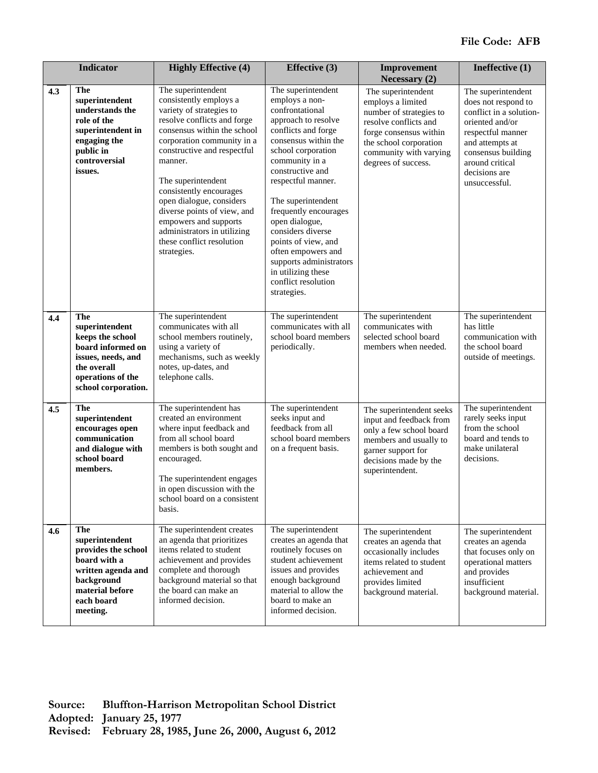|     | <b>Indicator</b>                                                                                                                                       | <b>Highly Effective (4)</b>                                                                                                                                                                                                                                                                                                                                                                                                    | <b>Effective</b> (3)                                                                                                                                                                                                                                                                                                                                                                                                                      | Improvement<br>Necessary (2)                                                                                                                                                                     | Ineffective (1)                                                                                                                                                                                            |
|-----|--------------------------------------------------------------------------------------------------------------------------------------------------------|--------------------------------------------------------------------------------------------------------------------------------------------------------------------------------------------------------------------------------------------------------------------------------------------------------------------------------------------------------------------------------------------------------------------------------|-------------------------------------------------------------------------------------------------------------------------------------------------------------------------------------------------------------------------------------------------------------------------------------------------------------------------------------------------------------------------------------------------------------------------------------------|--------------------------------------------------------------------------------------------------------------------------------------------------------------------------------------------------|------------------------------------------------------------------------------------------------------------------------------------------------------------------------------------------------------------|
| 4.3 | The<br>superintendent<br>understands the<br>role of the<br>superintendent in<br>engaging the<br>public in<br>controversial<br>issues.                  | The superintendent<br>consistently employs a<br>variety of strategies to<br>resolve conflicts and forge<br>consensus within the school<br>corporation community in a<br>constructive and respectful<br>manner.<br>The superintendent<br>consistently encourages<br>open dialogue, considers<br>diverse points of view, and<br>empowers and supports<br>administrators in utilizing<br>these conflict resolution<br>strategies. | The superintendent<br>employs a non-<br>confrontational<br>approach to resolve<br>conflicts and forge<br>consensus within the<br>school corporation<br>community in a<br>constructive and<br>respectful manner.<br>The superintendent<br>frequently encourages<br>open dialogue,<br>considers diverse<br>points of view, and<br>often empowers and<br>supports administrators<br>in utilizing these<br>conflict resolution<br>strategies. | The superintendent<br>employs a limited<br>number of strategies to<br>resolve conflicts and<br>forge consensus within<br>the school corporation<br>community with varying<br>degrees of success. | The superintendent<br>does not respond to<br>conflict in a solution-<br>oriented and/or<br>respectful manner<br>and attempts at<br>consensus building<br>around critical<br>decisions are<br>unsuccessful. |
| 4.4 | <b>The</b><br>superintendent<br>keeps the school<br>board informed on<br>issues, needs, and<br>the overall<br>operations of the<br>school corporation. | The superintendent<br>communicates with all<br>school members routinely,<br>using a variety of<br>mechanisms, such as weekly<br>notes, up-dates, and<br>telephone calls.                                                                                                                                                                                                                                                       | The superintendent<br>communicates with all<br>school board members<br>periodically.                                                                                                                                                                                                                                                                                                                                                      | The superintendent<br>communicates with<br>selected school board<br>members when needed.                                                                                                         | The superintendent<br>has little<br>communication with<br>the school board<br>outside of meetings.                                                                                                         |
| 4.5 | <b>The</b><br>superintendent<br>encourages open<br>communication<br>and dialogue with<br>school board<br>members.                                      | The superintendent has<br>created an environment<br>where input feedback and<br>from all school board<br>members is both sought and<br>encouraged.<br>The superintendent engages<br>in open discussion with the<br>school board on a consistent<br>basis.                                                                                                                                                                      | The superintendent<br>seeks input and<br>feedback from all<br>school board members<br>on a frequent basis.                                                                                                                                                                                                                                                                                                                                | The superintendent seeks<br>input and feedback from<br>only a few school board<br>members and usually to<br>garner support for<br>decisions made by the<br>superintendent.                       | The superintendent<br>rarely seeks input<br>from the school<br>board and tends to<br>make unilateral<br>decisions.                                                                                         |
| 4.6 | <b>The</b><br>superintendent<br>provides the school<br>board with a<br>written agenda and<br>background<br>material before<br>each board<br>meeting.   | The superintendent creates<br>an agenda that prioritizes<br>items related to student<br>achievement and provides<br>complete and thorough<br>background material so that<br>the board can make an<br>informed decision.                                                                                                                                                                                                        | The superintendent<br>creates an agenda that<br>routinely focuses on<br>student achievement<br>issues and provides<br>enough background<br>material to allow the<br>board to make an<br>informed decision.                                                                                                                                                                                                                                | The superintendent<br>creates an agenda that<br>occasionally includes<br>items related to student<br>achievement and<br>provides limited<br>background material.                                 | The superintendent<br>creates an agenda<br>that focuses only on<br>operational matters<br>and provides<br>insufficient<br>background material.                                                             |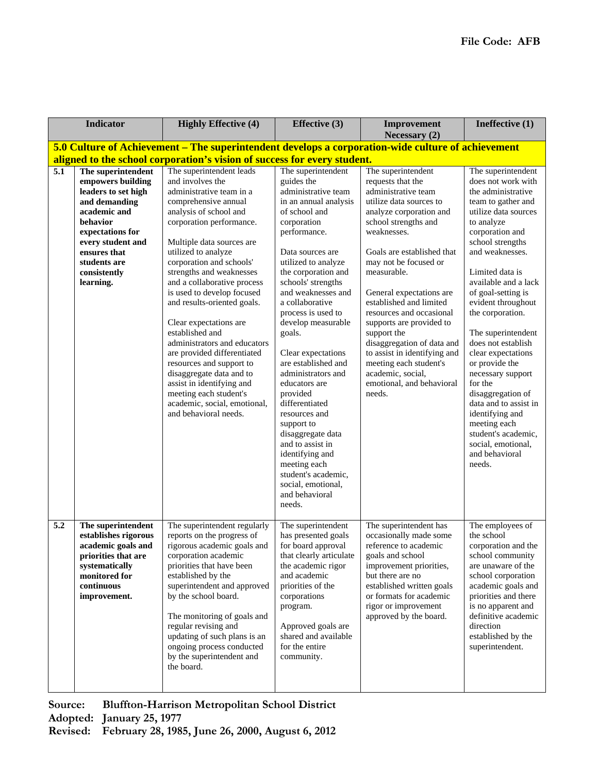|                  | <b>Indicator</b>                                                                                                                                                                                                  | <b>Highly Effective (4)</b>                                                                                                                                                                                                                                                                                                                                                                                                                                                                                                                                                                                                                        | <b>Effective (3)</b>                                                                                                                                                                                                                                                                                                                                                                                                                                                                                                                                                                                                          | Improvement<br>Necessary (2)                                                                                                                                                                                                                                                                                                                                                                                                                                                                                        | Ineffective (1)                                                                                                                                                                                                                                                                                                                                                                                                                                                                                                                                                               |
|------------------|-------------------------------------------------------------------------------------------------------------------------------------------------------------------------------------------------------------------|----------------------------------------------------------------------------------------------------------------------------------------------------------------------------------------------------------------------------------------------------------------------------------------------------------------------------------------------------------------------------------------------------------------------------------------------------------------------------------------------------------------------------------------------------------------------------------------------------------------------------------------------------|-------------------------------------------------------------------------------------------------------------------------------------------------------------------------------------------------------------------------------------------------------------------------------------------------------------------------------------------------------------------------------------------------------------------------------------------------------------------------------------------------------------------------------------------------------------------------------------------------------------------------------|---------------------------------------------------------------------------------------------------------------------------------------------------------------------------------------------------------------------------------------------------------------------------------------------------------------------------------------------------------------------------------------------------------------------------------------------------------------------------------------------------------------------|-------------------------------------------------------------------------------------------------------------------------------------------------------------------------------------------------------------------------------------------------------------------------------------------------------------------------------------------------------------------------------------------------------------------------------------------------------------------------------------------------------------------------------------------------------------------------------|
|                  |                                                                                                                                                                                                                   | 5.0 Culture of Achievement – The superintendent develops a corporation-wide culture of achievement                                                                                                                                                                                                                                                                                                                                                                                                                                                                                                                                                 |                                                                                                                                                                                                                                                                                                                                                                                                                                                                                                                                                                                                                               |                                                                                                                                                                                                                                                                                                                                                                                                                                                                                                                     |                                                                                                                                                                                                                                                                                                                                                                                                                                                                                                                                                                               |
|                  |                                                                                                                                                                                                                   | aligned to the school corporation's vision of success for every student.                                                                                                                                                                                                                                                                                                                                                                                                                                                                                                                                                                           |                                                                                                                                                                                                                                                                                                                                                                                                                                                                                                                                                                                                                               |                                                                                                                                                                                                                                                                                                                                                                                                                                                                                                                     |                                                                                                                                                                                                                                                                                                                                                                                                                                                                                                                                                                               |
| $\overline{5.1}$ | The superintendent<br>empowers building<br>leaders to set high<br>and demanding<br>academic and<br>behavior<br>expectations for<br>every student and<br>ensures that<br>students are<br>consistently<br>learning. | The superintendent leads<br>and involves the<br>administrative team in a<br>comprehensive annual<br>analysis of school and<br>corporation performance.<br>Multiple data sources are<br>utilized to analyze<br>corporation and schools'<br>strengths and weaknesses<br>and a collaborative process<br>is used to develop focused<br>and results-oriented goals.<br>Clear expectations are<br>established and<br>administrators and educators<br>are provided differentiated<br>resources and support to<br>disaggregate data and to<br>assist in identifying and<br>meeting each student's<br>academic, social, emotional,<br>and behavioral needs. | The superintendent<br>guides the<br>administrative team<br>in an annual analysis<br>of school and<br>corporation<br>performance.<br>Data sources are<br>utilized to analyze<br>the corporation and<br>schools' strengths<br>and weaknesses and<br>a collaborative<br>process is used to<br>develop measurable<br>goals.<br>Clear expectations<br>are established and<br>administrators and<br>educators are<br>provided<br>differentiated<br>resources and<br>support to<br>disaggregate data<br>and to assist in<br>identifying and<br>meeting each<br>student's academic,<br>social, emotional,<br>and behavioral<br>needs. | The superintendent<br>requests that the<br>administrative team<br>utilize data sources to<br>analyze corporation and<br>school strengths and<br>weaknesses.<br>Goals are established that<br>may not be focused or<br>measurable.<br>General expectations are<br>established and limited<br>resources and occasional<br>supports are provided to<br>support the<br>disaggregation of data and<br>to assist in identifying and<br>meeting each student's<br>academic, social,<br>emotional, and behavioral<br>needs. | The superintendent<br>does not work with<br>the administrative<br>team to gather and<br>utilize data sources<br>to analyze<br>corporation and<br>school strengths<br>and weaknesses.<br>Limited data is<br>available and a lack<br>of goal-setting is<br>evident throughout<br>the corporation.<br>The superintendent<br>does not establish<br>clear expectations<br>or provide the<br>necessary support<br>for the<br>disaggregation of<br>data and to assist in<br>identifying and<br>meeting each<br>student's academic,<br>social, emotional,<br>and behavioral<br>needs. |
| 5.2              | The superintendent<br>establishes rigorous<br>academic goals and<br>priorities that are<br>systematically<br>monitored for<br>continuous<br>improvement.                                                          | The superintendent regularly<br>reports on the progress of<br>rigorous academic goals and<br>corporation academic<br>priorities that have been<br>established by the<br>superintendent and approved<br>by the school board.<br>The monitoring of goals and<br>regular revising and<br>updating of such plans is an<br>ongoing process conducted<br>by the superintendent and<br>the board.                                                                                                                                                                                                                                                         | The superintendent<br>has presented goals<br>for board approval<br>that clearly articulate<br>the academic rigor<br>and academic<br>priorities of the<br>corporations<br>program.<br>Approved goals are<br>shared and available<br>for the entire<br>community.                                                                                                                                                                                                                                                                                                                                                               | The superintendent has<br>occasionally made some<br>reference to academic<br>goals and school<br>improvement priorities,<br>but there are no<br>established written goals<br>or formats for academic<br>rigor or improvement<br>approved by the board.                                                                                                                                                                                                                                                              | The employees of<br>the school<br>corporation and the<br>school community<br>are unaware of the<br>school corporation<br>academic goals and<br>priorities and there<br>is no apparent and<br>definitive academic<br>direction<br>established by the<br>superintendent.                                                                                                                                                                                                                                                                                                        |

**Source: Bluffton-Harrison Metropolitan School District**

**Adopted: January 25, 1977**

**Revised: February 28, 1985, June 26, 2000, August 6, 2012**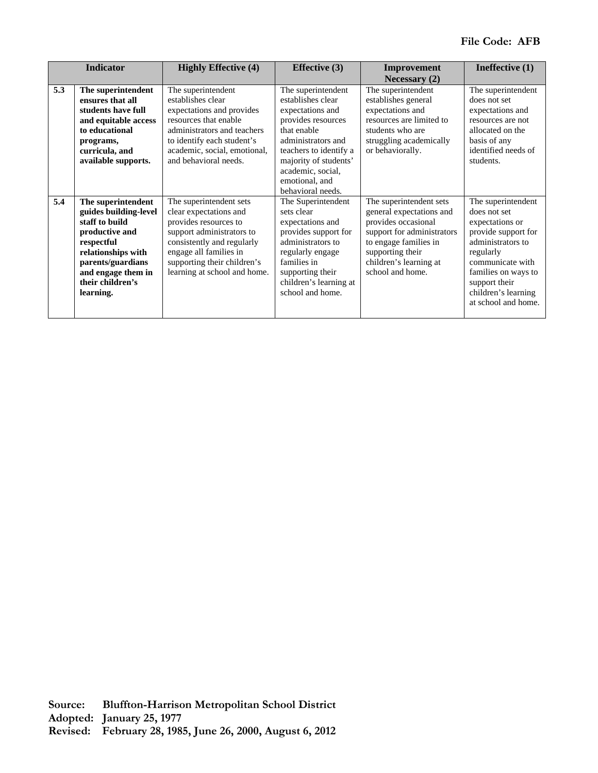|     | <b>Indicator</b>      | <b>Highly Effective (4)</b>  | <b>Effective</b> (3)   | Improvement                | Ineffective (1)     |
|-----|-----------------------|------------------------------|------------------------|----------------------------|---------------------|
|     |                       |                              |                        | Necessary $(2)$            |                     |
| 5.3 | The superintendent    | The superintendent           | The superintendent     | The superintendent         | The superintendent  |
|     | ensures that all      | establishes clear            | establishes clear      | establishes general        | does not set        |
|     | students have full    | expectations and provides    | expectations and       | expectations and           | expectations and    |
|     | and equitable access  | resources that enable        | provides resources     | resources are limited to   | resources are not   |
|     | to educational        | administrators and teachers  | that enable            | students who are           | allocated on the    |
|     | programs,             | to identify each student's   | administrators and     | struggling academically    | basis of any        |
|     | curricula, and        | academic, social, emotional, | teachers to identify a | or behaviorally.           | identified needs of |
|     | available supports.   | and behavioral needs.        | majority of students'  |                            | students.           |
|     |                       |                              | academic, social,      |                            |                     |
|     |                       |                              | emotional, and         |                            |                     |
|     |                       |                              | behavioral needs.      |                            |                     |
| 5.4 | The superintendent    | The superintendent sets      | The Superintendent     | The superintendent sets    | The superintendent  |
|     | guides building-level | clear expectations and       | sets clear             | general expectations and   | does not set        |
|     | staff to build        | provides resources to        | expectations and       | provides occasional        | expectations or     |
|     | productive and        | support administrators to    | provides support for   | support for administrators | provide support for |
|     | respectful            | consistently and regularly   | administrators to      | to engage families in      | administrators to   |
|     | relationships with    | engage all families in       | regularly engage       | supporting their           | regularly           |
|     | parents/guardians     | supporting their children's  | families in            | children's learning at     | communicate with    |
|     | and engage them in    | learning at school and home. | supporting their       | school and home.           | families on ways to |
|     | their children's      |                              | children's learning at |                            | support their       |
|     | learning.             |                              | school and home.       |                            | children's learning |
|     |                       |                              |                        |                            | at school and home. |
|     |                       |                              |                        |                            |                     |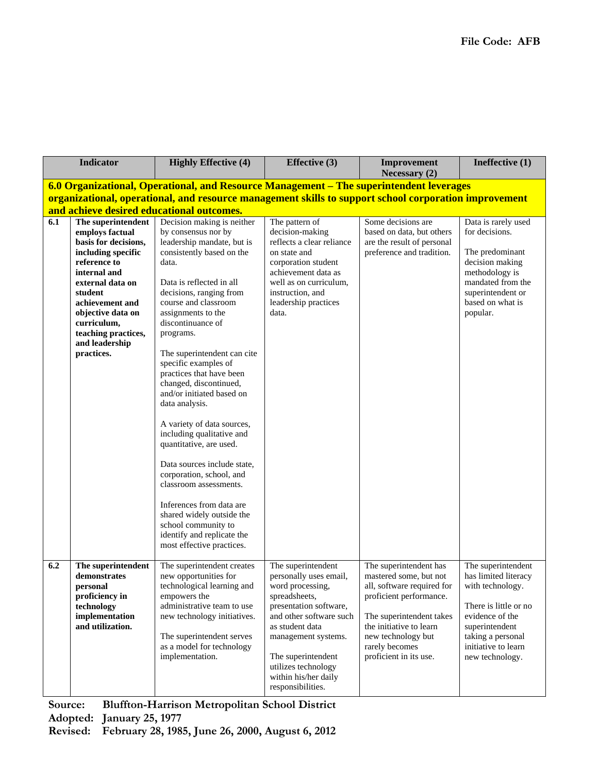|     | <b>Indicator</b>                   | <b>Highly Effective (4)</b>                                                                           | <b>Effective (3)</b>                          | Improvement<br>Necessary (2)                     | Ineffective (1)                            |
|-----|------------------------------------|-------------------------------------------------------------------------------------------------------|-----------------------------------------------|--------------------------------------------------|--------------------------------------------|
|     |                                    | 6.0 Organizational, Operational, and Resource Management – The superintendent leverages               |                                               |                                                  |                                            |
|     |                                    | organizational, operational, and resource management skills to support school corporation improvement |                                               |                                                  |                                            |
|     |                                    | and achieve desired educational outcomes.                                                             |                                               |                                                  |                                            |
| 6.1 | The superintendent                 | Decision making is neither                                                                            | The pattern of                                | Some decisions are                               | Data is rarely used                        |
|     | employs factual                    | by consensus nor by                                                                                   | decision-making                               | based on data, but others                        | for decisions.                             |
|     | basis for decisions,               | leadership mandate, but is                                                                            | reflects a clear reliance                     | are the result of personal                       |                                            |
|     | including specific                 | consistently based on the                                                                             | on state and                                  | preference and tradition.                        | The predominant                            |
|     | reference to                       | data.                                                                                                 | corporation student                           |                                                  | decision making                            |
|     | internal and<br>external data on   | Data is reflected in all                                                                              | achievement data as<br>well as on curriculum. |                                                  | methodology is<br>mandated from the        |
|     | student                            | decisions, ranging from                                                                               | instruction, and                              |                                                  | superintendent or                          |
|     | achievement and                    | course and classroom                                                                                  | leadership practices                          |                                                  | based on what is                           |
|     | objective data on                  | assignments to the                                                                                    | data.                                         |                                                  | popular.                                   |
|     | curriculum,                        | discontinuance of                                                                                     |                                               |                                                  |                                            |
|     | teaching practices,                | programs.                                                                                             |                                               |                                                  |                                            |
|     | and leadership                     |                                                                                                       |                                               |                                                  |                                            |
|     | practices.                         | The superintendent can cite                                                                           |                                               |                                                  |                                            |
|     |                                    | specific examples of<br>practices that have been                                                      |                                               |                                                  |                                            |
|     |                                    | changed, discontinued,                                                                                |                                               |                                                  |                                            |
|     |                                    | and/or initiated based on                                                                             |                                               |                                                  |                                            |
|     |                                    | data analysis.                                                                                        |                                               |                                                  |                                            |
|     |                                    |                                                                                                       |                                               |                                                  |                                            |
|     |                                    | A variety of data sources,                                                                            |                                               |                                                  |                                            |
|     |                                    | including qualitative and                                                                             |                                               |                                                  |                                            |
|     |                                    | quantitative, are used.                                                                               |                                               |                                                  |                                            |
|     |                                    |                                                                                                       |                                               |                                                  |                                            |
|     |                                    | Data sources include state,                                                                           |                                               |                                                  |                                            |
|     |                                    | corporation, school, and<br>classroom assessments.                                                    |                                               |                                                  |                                            |
|     |                                    |                                                                                                       |                                               |                                                  |                                            |
|     |                                    | Inferences from data are                                                                              |                                               |                                                  |                                            |
|     |                                    | shared widely outside the                                                                             |                                               |                                                  |                                            |
|     |                                    | school community to                                                                                   |                                               |                                                  |                                            |
|     |                                    | identify and replicate the                                                                            |                                               |                                                  |                                            |
|     |                                    | most effective practices.                                                                             |                                               |                                                  |                                            |
|     |                                    |                                                                                                       |                                               |                                                  |                                            |
| 6.2 | The superintendent<br>demonstrates | The superintendent creates<br>new opportunities for                                                   | The superintendent<br>personally uses email,  | The superintendent has<br>mastered some, but not | The superintendent<br>has limited literacy |
|     | personal                           | technological learning and                                                                            | word processing,                              | all, software required for                       | with technology.                           |
|     | proficiency in                     | empowers the                                                                                          | spreadsheets,                                 | proficient performance.                          |                                            |
|     | technology                         | administrative team to use                                                                            | presentation software,                        |                                                  | There is little or no                      |
|     | implementation                     | new technology initiatives.                                                                           | and other software such                       | The superintendent takes                         | evidence of the                            |
|     | and utilization.                   |                                                                                                       | as student data                               | the initiative to learn                          | superintendent                             |
|     |                                    | The superintendent serves                                                                             | management systems.                           | new technology but                               | taking a personal                          |
|     |                                    | as a model for technology                                                                             |                                               | rarely becomes                                   | initiative to learn                        |
|     |                                    | implementation.                                                                                       | The superintendent                            | proficient in its use.                           | new technology.                            |
|     |                                    |                                                                                                       | utilizes technology<br>within his/her daily   |                                                  |                                            |
|     |                                    |                                                                                                       | responsibilities.                             |                                                  |                                            |
|     |                                    |                                                                                                       |                                               |                                                  |                                            |

**Source: Bluffton-Harrison Metropolitan School District**

**Adopted: January 25, 1977**

**Revised: February 28, 1985, June 26, 2000, August 6, 2012**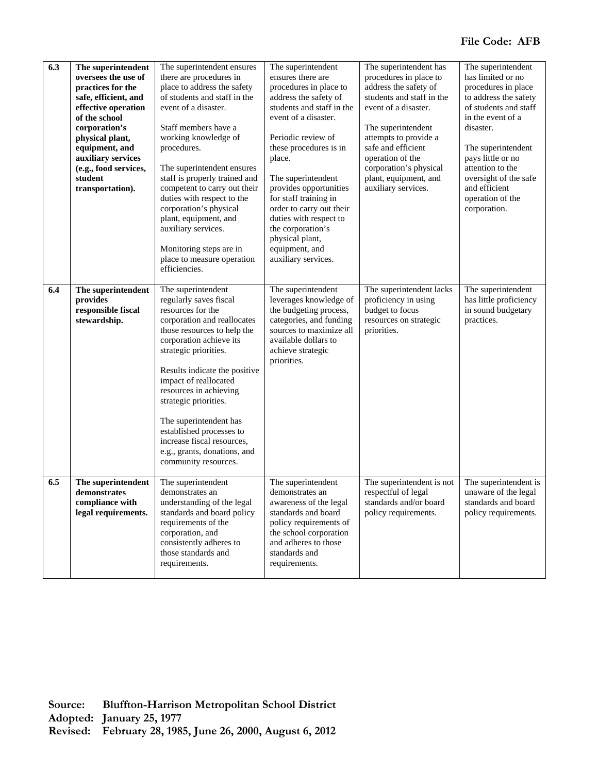| 6.3 | The superintendent<br>oversees the use of<br>practices for the<br>safe, efficient, and<br>effective operation<br>of the school<br>corporation's<br>physical plant,<br>equipment, and<br>auxiliary services<br>(e.g., food services,<br>student<br>transportation). | The superintendent ensures<br>there are procedures in<br>place to address the safety<br>of students and staff in the<br>event of a disaster.<br>Staff members have a<br>working knowledge of<br>procedures.<br>The superintendent ensures<br>staff is properly trained and<br>competent to carry out their<br>duties with respect to the<br>corporation's physical<br>plant, equipment, and<br>auxiliary services.<br>Monitoring steps are in<br>place to measure operation<br>efficiencies. | The superintendent<br>ensures there are<br>procedures in place to<br>address the safety of<br>students and staff in the<br>event of a disaster.<br>Periodic review of<br>these procedures is in<br>place.<br>The superintendent<br>provides opportunities<br>for staff training in<br>order to carry out their<br>duties with respect to<br>the corporation's<br>physical plant,<br>equipment, and<br>auxiliary services. | The superintendent has<br>procedures in place to<br>address the safety of<br>students and staff in the<br>event of a disaster.<br>The superintendent<br>attempts to provide a<br>safe and efficient<br>operation of the<br>corporation's physical<br>plant, equipment, and<br>auxiliary services. | The superintendent<br>has limited or no<br>procedures in place<br>to address the safety<br>of students and staff<br>in the event of a<br>disaster.<br>The superintendent<br>pays little or no<br>attention to the<br>oversight of the safe<br>and efficient<br>operation of the<br>corporation. |
|-----|--------------------------------------------------------------------------------------------------------------------------------------------------------------------------------------------------------------------------------------------------------------------|----------------------------------------------------------------------------------------------------------------------------------------------------------------------------------------------------------------------------------------------------------------------------------------------------------------------------------------------------------------------------------------------------------------------------------------------------------------------------------------------|---------------------------------------------------------------------------------------------------------------------------------------------------------------------------------------------------------------------------------------------------------------------------------------------------------------------------------------------------------------------------------------------------------------------------|---------------------------------------------------------------------------------------------------------------------------------------------------------------------------------------------------------------------------------------------------------------------------------------------------|-------------------------------------------------------------------------------------------------------------------------------------------------------------------------------------------------------------------------------------------------------------------------------------------------|
| 6.4 | The superintendent<br>provides<br>responsible fiscal<br>stewardship.                                                                                                                                                                                               | The superintendent<br>regularly saves fiscal<br>resources for the<br>corporation and reallocates<br>those resources to help the<br>corporation achieve its<br>strategic priorities.<br>Results indicate the positive<br>impact of reallocated<br>resources in achieving<br>strategic priorities.<br>The superintendent has<br>established processes to<br>increase fiscal resources,<br>e.g., grants, donations, and<br>community resources.                                                 | The superintendent<br>leverages knowledge of<br>the budgeting process,<br>categories, and funding<br>sources to maximize all<br>available dollars to<br>achieve strategic<br>priorities.                                                                                                                                                                                                                                  | The superintendent lacks<br>proficiency in using<br>budget to focus<br>resources on strategic<br>priorities.                                                                                                                                                                                      | The superintendent<br>has little proficiency<br>in sound budgetary<br>practices.                                                                                                                                                                                                                |
| 6.5 | The superintendent<br>demonstrates<br>compliance with<br>legal requirements.                                                                                                                                                                                       | The superintendent<br>demonstrates an<br>understanding of the legal<br>standards and board policy<br>requirements of the<br>corporation, and<br>consistently adheres to<br>those standards and<br>requirements.                                                                                                                                                                                                                                                                              | The superintendent<br>demonstrates an<br>awareness of the legal<br>standards and board<br>policy requirements of<br>the school corporation<br>and adheres to those<br>standards and<br>requirements.                                                                                                                                                                                                                      | The superintendent is not<br>respectful of legal<br>standards and/or board<br>policy requirements.                                                                                                                                                                                                | The superintendent is<br>unaware of the legal<br>standards and board<br>policy requirements.                                                                                                                                                                                                    |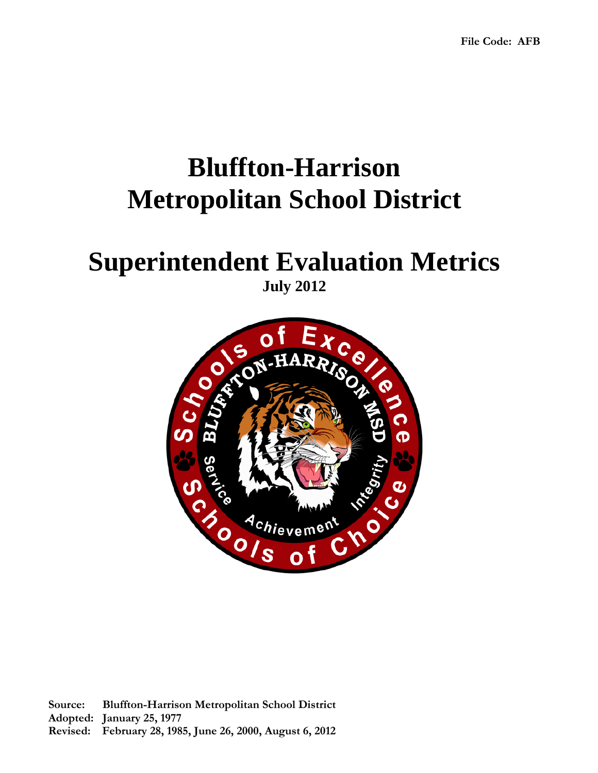## **Bluffton-Harrison Metropolitan School District**

## **Superintendent Evaluation Metrics July 2012**

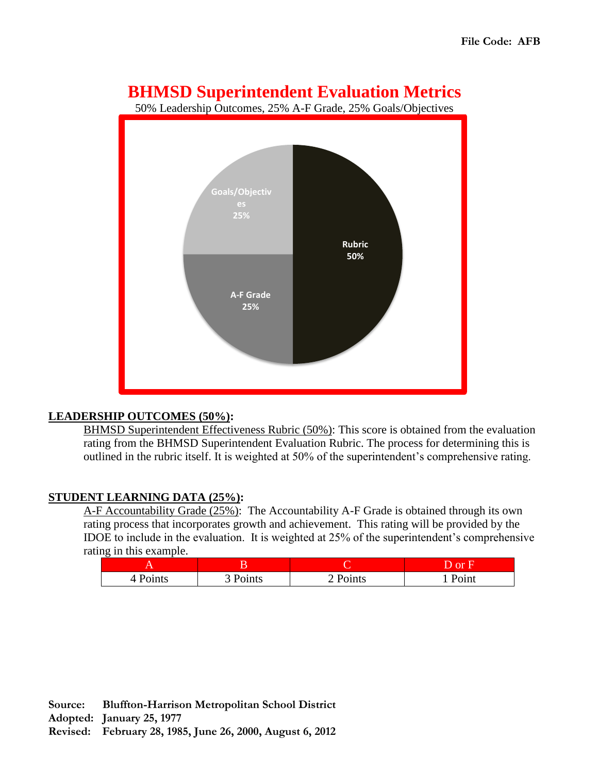### **BHMSD Superintendent Evaluation Metrics**

50% Leadership Outcomes, 25% A-F Grade, 25% Goals/Objectives



#### **LEADERSHIP OUTCOMES (50%):**

BHMSD Superintendent Effectiveness Rubric (50%): This score is obtained from the evaluation rating from the BHMSD Superintendent Evaluation Rubric. The process for determining this is outlined in the rubric itself. It is weighted at 50% of the superintendent's comprehensive rating.

#### **STUDENT LEARNING DATA (25%):**

A-F Accountability Grade (25%): The Accountability A-F Grade is obtained through its own rating process that incorporates growth and achievement. This rating will be provided by the IDOE to include in the evaluation. It is weighted at 25% of the superintendent's comprehensive rating in this example.

|          |               |        | <b>or</b> |
|----------|---------------|--------|-----------|
| 4 Points | $\sim$ Points | Points | Point     |